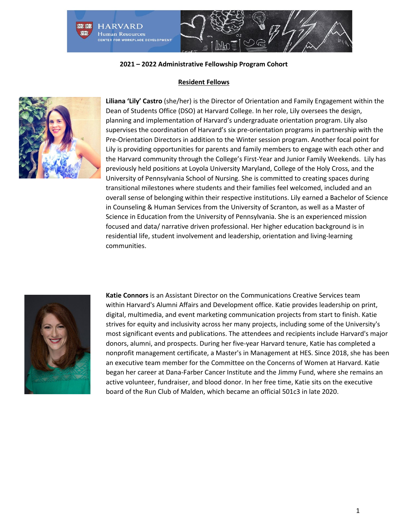

#### **Resident Fellows**



**Liliana 'Lily' Castro** (she/her) is the Director of Orientation and Family Engagement within the Dean of Students Office (DSO) at Harvard College. In her role, Lily oversees the design, planning and implementation of Harvard's undergraduate orientation program. Lily also supervises the coordination of Harvard's six pre-orientation programs in partnership with the Pre-Orientation Directors in addition to the Winter session program. Another focal point for Lily is providing opportunities for parents and family members to engage with each other and the Harvard community through the College's First-Year and Junior Family Weekends. Lily has previously held positions at Loyola University Maryland, College of the Holy Cross, and the University of Pennsylvania School of Nursing. She is committed to creating spaces during transitional milestones where students and their families feel welcomed, included and an overall sense of belonging within their respective institutions. Lily earned a Bachelor of Science in Counseling & Human Services from the University of Scranton, as well as a Master of Science in Education from the University of Pennsylvania. She is an experienced mission focused and data/ narrative driven professional. Her higher education background is in residential life, student involvement and leadership, orientation and living-learning communities.



**Katie Connors** is an Assistant Director on the Communications Creative Services team within Harvard's Alumni Affairs and Development office. Katie provides leadership on print, digital, multimedia, and event marketing communication projects from start to finish. Katie strives for equity and inclusivity across her many projects, including some of the University's most significant events and publications. The attendees and recipients include Harvard's major donors, alumni, and prospects. During her five-year Harvard tenure, Katie has completed a nonprofit management certificate, a Master's in Management at HES. Since 2018, she has been an executive team member for the Committee on the Concerns of Women at Harvard. Katie began her career at Dana-Farber Cancer Institute and the Jimmy Fund, where she remains an active volunteer, fundraiser, and blood donor. In her free time, Katie sits on the executive board of the Run Club of Malden, which became an official 501c3 in late 2020.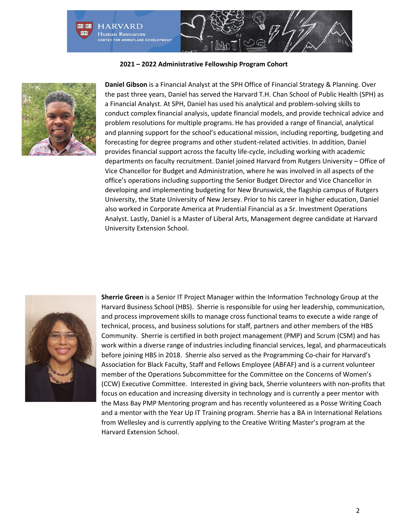

**2021 – 2022 Administrative Fellowship Program Cohort**



**Daniel Gibson** is a Financial Analyst at the SPH Office of Financial Strategy & Planning. Over the past three years, Daniel has served the Harvard T.H. Chan School of Public Health (SPH) as a Financial Analyst. At SPH, Daniel has used his analytical and problem-solving skills to conduct complex financial analysis, update financial models, and provide technical advice and problem resolutions for multiple programs. He has provided a range of financial, analytical and planning support for the school's educational mission, including reporting, budgeting and forecasting for degree programs and other student-related activities. In addition, Daniel provides financial support across the faculty life-cycle, including working with academic departments on faculty recruitment. Daniel joined Harvard from Rutgers University – Office of Vice Chancellor for Budget and Administration, where he was involved in all aspects of the office's operations including supporting the Senior Budget Director and Vice Chancellor in developing and implementing budgeting for New Brunswick, the flagship campus of Rutgers University, the State University of New Jersey. Prior to his career in higher education, Daniel also worked in Corporate America at Prudential Financial as a Sr. Investment Operations Analyst. Lastly, Daniel is a Master of Liberal Arts, Management degree candidate at Harvard University Extension School.



**Sherrie Green** is a Senior IT Project Manager within the Information Technology Group at the Harvard Business School (HBS). Sherrie is responsible for using her leadership, communication, and process improvement skills to manage cross functional teams to execute a wide range of technical, process, and business solutions for staff, partners and other members of the HBS Community. Sherrie is certified in both project management (PMP) and Scrum (CSM) and has work within a diverse range of industries including financial services, legal, and pharmaceuticals before joining HBS in 2018. Sherrie also served as the Programming Co-chair for Harvard's Association for Black Faculty, Staff and Fellows Employee (ABFAF) and is a current volunteer member of the Operations Subcommittee for the Committee on the Concerns of Women's (CCW) Executive Committee. Interested in giving back, Sherrie volunteers with non-profits that focus on education and increasing diversity in technology and is currently a peer mentor with the Mass Bay PMP Mentoring program and has recently volunteered as a Posse Writing Coach and a mentor with the Year Up IT Training program. Sherrie has a BA in International Relations from Wellesley and is currently applying to the Creative Writing Master's program at the Harvard Extension School.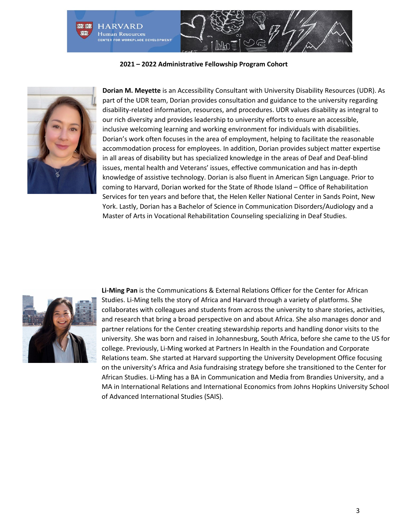



**Dorian M. Meyette** is an Accessibility Consultant with University Disability Resources (UDR). As part of the UDR team, Dorian provides consultation and guidance to the university regarding disability-related information, resources, and procedures. UDR values disability as integral to our rich diversity and provides leadership to university efforts to ensure an accessible, inclusive welcoming learning and working environment for individuals with disabilities. Dorian's work often focuses in the area of employment, helping to facilitate the reasonable accommodation process for employees. In addition, Dorian provides subject matter expertise in all areas of disability but has specialized knowledge in the areas of Deaf and Deaf-blind issues, mental health and Veterans' issues, effective communication and has in-depth knowledge of assistive technology. Dorian is also fluent in American Sign Language. Prior to coming to Harvard, Dorian worked for the State of Rhode Island – Office of Rehabilitation Services for ten years and before that, the Helen Keller National Center in Sands Point, New York. Lastly, Dorian has a Bachelor of Science in Communication Disorders/Audiology and a Master of Arts in Vocational Rehabilitation Counseling specializing in Deaf Studies.



**Li-Ming Pan** is the Communications & External Relations Officer for the Center for African Studies. Li-Ming tells the story of Africa and Harvard through a variety of platforms. She collaborates with colleagues and students from across the university to share stories, activities, and research that bring a broad perspective on and about Africa. She also manages donor and partner relations for the Center creating stewardship reports and handling donor visits to the university. She was born and raised in Johannesburg, South Africa, before she came to the US for college. Previously, Li-Ming worked at Partners In Health in the Foundation and Corporate Relations team. She started at Harvard supporting the University Development Office focusing on the university's Africa and Asia fundraising strategy before she transitioned to the Center for African Studies. Li-Ming has a BA in Communication and Media from Brandies University, and a MA in International Relations and International Economics from Johns Hopkins University School of Advanced International Studies (SAIS).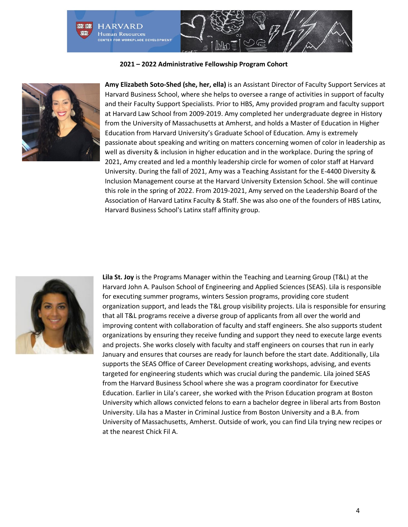



**Amy Elizabeth Soto-Shed (she, her, ella)** is an Assistant Director of Faculty Support Services at Harvard Business School, where she helps to oversee a range of activities in support of faculty and their Faculty Support Specialists. Prior to HBS, Amy provided program and faculty support at Harvard Law School from 2009-2019. Amy completed her undergraduate degree in History from the University of Massachusetts at Amherst, and holds a Master of Education in Higher Education from Harvard University's Graduate School of Education. Amy is extremely passionate about speaking and writing on matters concerning women of color in leadership as well as diversity & inclusion in higher education and in the workplace. During the spring of 2021, Amy created and led a monthly leadership circle for women of color staff at Harvard University. During the fall of 2021, Amy was a Teaching Assistant for the E-4400 Diversity & Inclusion Management course at the Harvard University Extension School. She will continue this role in the spring of 2022. From 2019-2021, Amy served on the Leadership Board of the Association of Harvard Latinx Faculty & Staff. She was also one of the founders of HBS Latinx, Harvard Business School's Latinx staff affinity group.



**Lila St. Joy** is the Programs Manager within the Teaching and Learning Group (T&L) at the Harvard John A. Paulson School of Engineering and Applied Sciences (SEAS). Lila is responsible for executing summer programs, winters Session programs, providing core student organization support, and leads the T&L group visibility projects. Lila is responsible for ensuring that all T&L programs receive a diverse group of applicants from all over the world and improving content with collaboration of faculty and staff engineers. She also supports student organizations by ensuring they receive funding and support they need to execute large events and projects. She works closely with faculty and staff engineers on courses that run in early January and ensures that courses are ready for launch before the start date. Additionally, Lila supports the SEAS Office of Career Development creating workshops, advising, and events targeted for engineering students which was crucial during the pandemic. Lila joined SEAS from the Harvard Business School where she was a program coordinator for Executive Education. Earlier in Lila's career, she worked with the Prison Education program at Boston University which allows convicted felons to earn a bachelor degree in liberal arts from Boston University. Lila has a Master in Criminal Justice from Boston University and a B.A. from University of Massachusetts, Amherst. Outside of work, you can find Lila trying new recipes or at the nearest Chick Fil A.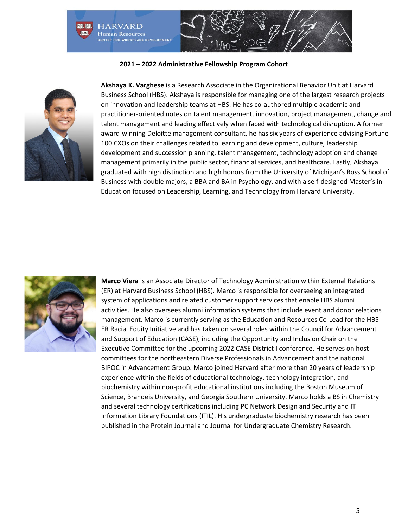



**Akshaya K. Varghese** is a Research Associate in the Organizational Behavior Unit at Harvard Business School (HBS). Akshaya is responsible for managing one of the largest research projects on innovation and leadership teams at HBS. He has co-authored multiple academic and practitioner-oriented notes on talent management, innovation, project management, change and talent management and leading effectively when faced with technological disruption. A former award-winning Deloitte management consultant, he has six years of experience advising Fortune 100 CXOs on their challenges related to learning and development, culture, leadership development and succession planning, talent management, technology adoption and change management primarily in the public sector, financial services, and healthcare. Lastly, Akshaya graduated with high distinction and high honors from the University of Michigan's Ross School of Business with double majors, a BBA and BA in Psychology, and with a self-designed Master's in Education focused on Leadership, Learning, and Technology from Harvard University.



**Marco Viera** is an Associate Director of Technology Administration within External Relations (ER) at Harvard Business School (HBS). Marco is responsible for overseeing an integrated system of applications and related customer support services that enable HBS alumni activities. He also oversees alumni information systems that include event and donor relations management. Marco is currently serving as the Education and Resources Co-Lead for the HBS ER Racial Equity Initiative and has taken on several roles within the Council for Advancement and Support of Education (CASE), including the Opportunity and Inclusion Chair on the Executive Committee for the upcoming 2022 CASE District I conference. He serves on host committees for the northeastern Diverse Professionals in Advancement and the national BIPOC in Advancement Group. Marco joined Harvard after more than 20 years of leadership experience within the fields of educational technology, technology integration, and biochemistry within non-profit educational institutions including the Boston Museum of Science, Brandeis University, and Georgia Southern University. Marco holds a BS in Chemistry and several technology certifications including PC Network Design and Security and IT Information Library Foundations (ITIL). His undergraduate biochemistry research has been published in the Protein Journal and Journal for Undergraduate Chemistry Research.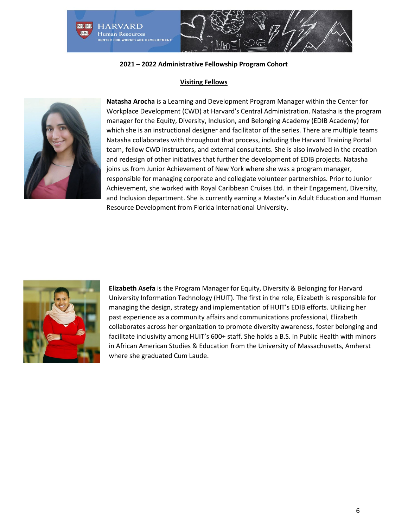

# **Visiting Fellows**



**Natasha Arocha** is a Learning and Development Program Manager within the Center for Workplace Development (CWD) at Harvard's Central Administration. Natasha is the program manager for the Equity, Diversity, Inclusion, and Belonging Academy (EDIB Academy) for which she is an instructional designer and facilitator of the series. There are multiple teams Natasha collaborates with throughout that process, including the Harvard Training Portal team, fellow CWD instructors, and external consultants. She is also involved in the creation and redesign of other initiatives that further the development of EDIB projects. Natasha joins us from Junior Achievement of New York where she was a program manager, responsible for managing corporate and collegiate volunteer partnerships. Prior to Junior Achievement, she worked with Royal Caribbean Cruises Ltd. in their Engagement, Diversity, and Inclusion department. She is currently earning a Master's in Adult Education and Human Resource Development from Florida International University.



**Elizabeth Asefa** is the Program Manager for Equity, Diversity & Belonging for Harvard University Information Technology (HUIT). The first in the role, Elizabeth is responsible for managing the design, strategy and implementation of HUIT's EDIB efforts. Utilizing her past experience as a community affairs and communications professional, Elizabeth collaborates across her organization to promote diversity awareness, foster belonging and facilitate inclusivity among HUIT's 600+ staff. She holds a B.S. in Public Health with minors in African American Studies & Education from the University of Massachusetts, Amherst where she graduated Cum Laude.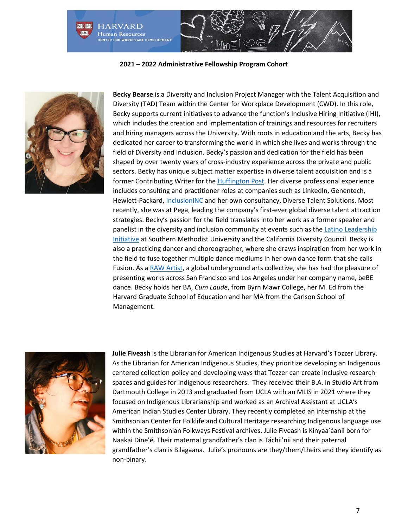



**[Becky Bearse](https://www.linkedin.com/in/bearse/)** is a Diversity and Inclusion Project Manager with the Talent Acquisition and Diversity (TAD) Team within the Center for Workplace Development (CWD). In this role, Becky supports current initiatives to advance the function's Inclusive Hiring Initiative (IHI), which includes the creation and implementation of trainings and resources for recruiters and hiring managers across the University. With roots in education and the arts, Becky has dedicated her career to transforming the world in which she lives and works through the field of Diversity and Inclusion. Becky's passion and dedication for the field has been shaped by over twenty years of cross-industry experience across the private and public sectors. Becky has unique subject matter expertise in diverse talent acquisition and is a former Contributing Writer for the **Huffington Post**. Her diverse professional experience includes consulting and practitioner roles at companies such as LinkedIn, Genentech, Hewlett-Packard, *InclusionINC* and her own consultancy, Diverse Talent Solutions. Most recently, she was at Pega, leading the company's first-ever global diverse talent attraction strategies. Becky's passion for the field translates into her work as a former speaker and panelist in the diversity and inclusion community at events such as the [Latino Leadership](https://www.smu.edu/cox/Degrees-and-Programs/Executive-Education/Latino-Leadership-Initiative)  [Initiative](https://www.smu.edu/cox/Degrees-and-Programs/Executive-Education/Latino-Leadership-Initiative) at Southern Methodist University and the California Diversity Council. Becky is also a practicing dancer and choreographer, where she draws inspiration from her work in the field to fuse together multiple dance mediums in her own dance form that she calls Fusion. As a [RAW Artist,](https://rawartists.com/bebedance) a global underground arts collective, she has had the pleasure of presenting works across San Francisco and Los Angeles under her company name, beBE dance. Becky holds her BA, *Cum Laude*, from Byrn Mawr College, her M. Ed from the Harvard Graduate School of Education and her MA from the Carlson School of Management.



**Julie Fiveash** is the Librarian for American Indigenous Studies at Harvard's Tozzer Library. As the Librarian for American Indigenous Studies, they prioritize developing an Indigenous centered collection policy and developing ways that Tozzer can create inclusive research spaces and guides for Indigenous researchers. They received their B.A. in Studio Art from Dartmouth College in 2013 and graduated from UCLA with an MLIS in 2021 where they focused on Indigenous Librarianship and worked as an Archival Assistant at UCLA's American Indian Studies Center Library. They recently completed an internship at the Smithsonian Center for Folklife and Cultural Heritage researching Indigenous language use within the Smithsonian Folkways Festival archives. Julie Fiveash is Kinyaa'áanii born for Naakai Dine'é. Their maternal grandfather's clan is Táchii'nii and their paternal grandfather's clan is Bilagaana. Julie's pronouns are they/them/theirs and they identify as non-binary.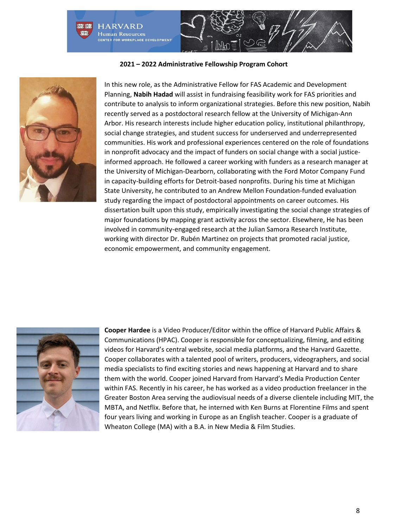



In this new role, as the Administrative Fellow for FAS Academic and Development Planning, **Nabih Hadad** will assist in fundraising feasibility work for FAS priorities and contribute to analysis to inform organizational strategies. Before this new position, Nabih recently served as a postdoctoral research fellow at the University of Michigan-Ann Arbor. His research interests include higher education policy, institutional philanthropy, social change strategies, and student success for underserved and underrepresented communities. His work and professional experiences centered on the role of foundations in nonprofit advocacy and the impact of funders on social change with a social justiceinformed approach. He followed a career working with funders as a research manager at the University of Michigan-Dearborn, collaborating with the Ford Motor Company Fund in capacity-building efforts for Detroit-based nonprofits. During his time at Michigan State University, he contributed to an Andrew Mellon Foundation-funded evaluation study regarding the impact of postdoctoral appointments on career outcomes. His dissertation built upon this study, empirically investigating the social change strategies of major foundations by mapping grant activity across the sector. Elsewhere, He has been involved in community-engaged research at the Julian Samora Research Institute, working with director Dr. Rubén Martinez on projects that promoted racial justice, economic empowerment, and community engagement.



**Cooper Hardee** is a Video Producer/Editor within the office of Harvard Public Affairs & Communications (HPAC). Cooper is responsible for conceptualizing, filming, and editing videos for Harvard's central website, social media platforms, and the Harvard Gazette. Cooper collaborates with a talented pool of writers, producers, videographers, and social media specialists to find exciting stories and news happening at Harvard and to share them with the world. Cooper joined Harvard from Harvard's Media Production Center within FAS. Recently in his career, he has worked as a video production freelancer in the Greater Boston Area serving the audiovisual needs of a diverse clientele including MIT, the MBTA, and Netflix. Before that, he interned with Ken Burns at Florentine Films and spent four years living and working in Europe as an English teacher. Cooper is a graduate of Wheaton College (MA) with a B.A. in New Media & Film Studies.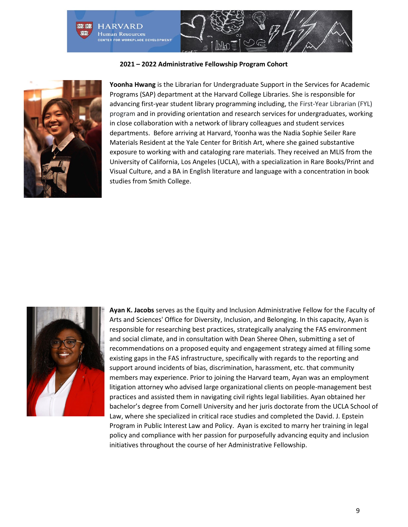



**Yoonha Hwang** is the Librarian for Undergraduate Support in the Services for Academic Programs (SAP) department at the Harvard College Libraries. She is responsible for advancing first-year student library programming including, the First-Year Librarian (FYL) program and in providing orientation and research services for undergraduates, working in close collaboration with a network of library colleagues and student services departments. Before arriving at Harvard, Yoonha was the Nadia Sophie Seiler Rare Materials Resident at the Yale Center for British Art, where she gained substantive exposure to working with and cataloging rare materials. They received an MLIS from the University of California, Los Angeles (UCLA), with a specialization in Rare Books/Print and Visual Culture, and a BA in English literature and language with a concentration in book studies from Smith College.



**Ayan K. Jacobs** serves as the Equity and Inclusion Administrative Fellow for the Faculty of Arts and Sciences' Office for Diversity, Inclusion, and Belonging. In this capacity, Ayan is responsible for researching best practices, strategically analyzing the FAS environment and social climate, and in consultation with Dean Sheree Ohen, submitting a set of recommendations on a proposed equity and engagement strategy aimed at filling some existing gaps in the FAS infrastructure, specifically with regards to the reporting and support around incidents of bias, discrimination, harassment, etc. that community members may experience. Prior to joining the Harvard team, Ayan was an employment litigation attorney who advised large organizational clients on people-management best practices and assisted them in navigating civil rights legal liabilities. Ayan obtained her bachelor's degree from Cornell University and her juris doctorate from the UCLA School of Law, where she specialized in critical race studies and completed the David. J. Epstein Program in Public Interest Law and Policy. Ayan is excited to marry her training in legal policy and compliance with her passion for purposefully advancing equity and inclusion initiatives throughout the course of her Administrative Fellowship.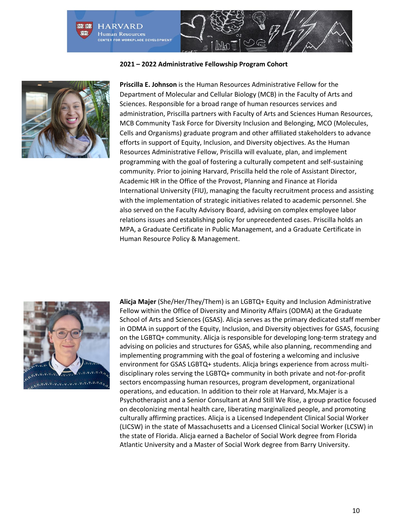



**Priscilla E. Johnson** is the Human Resources Administrative Fellow for the Department of Molecular and Cellular Biology (MCB) in the Faculty of Arts and Sciences. Responsible for a broad range of human resources services and administration, Priscilla partners with Faculty of Arts and Sciences Human Resources, MCB Community Task Force for Diversity Inclusion and Belonging, MCO (Molecules, Cells and Organisms) graduate program and other affiliated stakeholders to advance efforts in support of Equity, Inclusion, and Diversity objectives. As the Human Resources Administrative Fellow, Priscilla will evaluate, plan, and implement programming with the goal of fostering a culturally competent and self-sustaining community. Prior to joining Harvard, Priscilla held the role of Assistant Director, Academic HR in the Office of the Provost, Planning and Finance at Florida International University (FIU), managing the faculty recruitment process and assisting with the implementation of strategic initiatives related to academic personnel. She also served on the Faculty Advisory Board, advising on complex employee labor relations issues and establishing policy for unprecedented cases. Priscilla holds an MPA, a Graduate Certificate in Public Management, and a Graduate Certificate in Human Resource Policy & Management.



**Alicja Majer** (She/Her/They/Them) is an LGBTQ+ Equity and Inclusion Administrative Fellow within the Office of Diversity and Minority Affairs (ODMA) at the Graduate School of Arts and Sciences (GSAS). Alicja serves as the primary dedicated staff member in ODMA in support of the Equity, Inclusion, and Diversity objectives for GSAS, focusing on the LGBTQ+ community. Alicja is responsible for developing long-term strategy and advising on policies and structures for GSAS, while also planning, recommending and implementing programming with the goal of fostering a welcoming and inclusive environment for GSAS LGBTQ+ students. Alicja brings experience from across multidisciplinary roles serving the LGBTQ+ community in both private and not-for-profit sectors encompassing human resources, program development, organizational operations, and education. In addition to their role at Harvard, Mx.Majer is a Psychotherapist and a Senior Consultant at And Still We Rise, a group practice focused on decolonizing mental health care, liberating marginalized people, and promoting culturally affirming practices. Alicja is a Licensed Independent Clinical Social Worker (LICSW) in the state of Massachusetts and a Licensed Clinical Social Worker (LCSW) in the state of Florida. Alicja earned a Bachelor of Social Work degree from Florida Atlantic University and a Master of Social Work degree from Barry University.